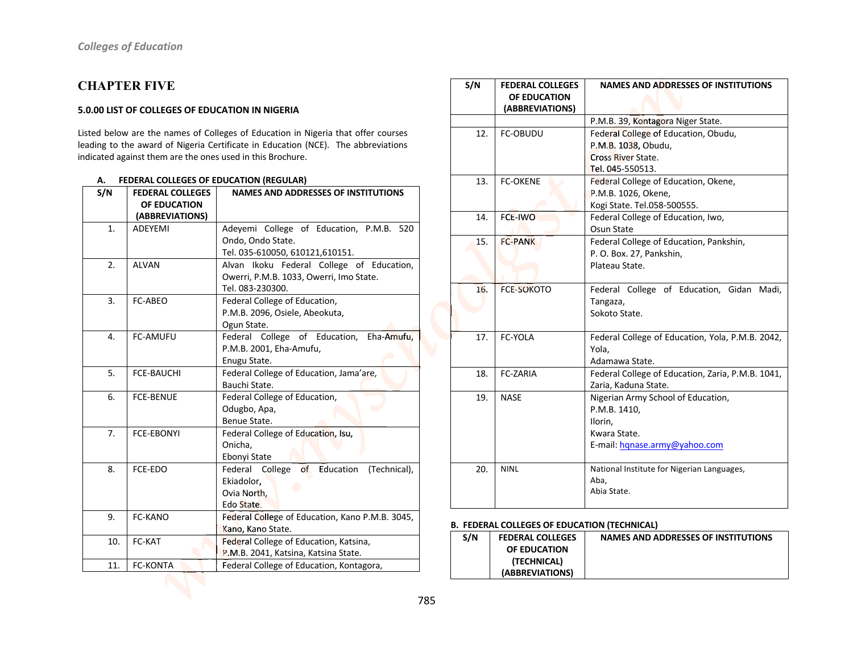## **CHAPTER FIVE**

#### 5.0.00 LIST OF COLLEGES OF EDUCATION IN NIGERIA

Listed below are the names of Colleges of Education in Nigeria that offer courses leading to the award of Nigeria Certificate in Education (NCE). The abbreviations indicated against them are the ones used in this Brochure.

| S/N | <b>FEDERAL COLLEGES</b> | <b>NAMES AND ADDRESSES OF INSTITUTIONS</b>      |
|-----|-------------------------|-------------------------------------------------|
|     | OF EDUCATION            |                                                 |
|     | (ABBREVIATIONS)         |                                                 |
| 1.  | <b>ADEYEMI</b>          | Adeyemi College of Education, P.M.B. 520        |
|     |                         | Ondo, Ondo State.                               |
|     |                         | Tel. 035-610050, 610121,610151.                 |
| 2.  | <b>ALVAN</b>            | Alvan Ikoku Federal College of Education,       |
|     |                         | Owerri, P.M.B. 1033, Owerri, Imo State.         |
|     |                         | Tel. 083-230300.                                |
| 3.  | FC-ABEO                 | Federal College of Education,                   |
|     |                         | P.M.B. 2096, Osiele, Abeokuta,                  |
|     |                         | Ogun State.                                     |
| 4.  | <b>FC-AMUFU</b>         | Federal College of Education, Eha-Amufu,        |
|     |                         | P.M.B. 2001, Eha-Amufu,                         |
|     |                         | Enugu State.                                    |
| 5.  | <b>FCE-BAUCHI</b>       | Federal College of Education, Jama'are,         |
|     |                         | Bauchi State.                                   |
| 6.  | <b>FCE-BENUE</b>        | Federal College of Education,                   |
|     |                         | Odugbo, Apa,                                    |
|     |                         | Benue State.                                    |
| 7.  | <b>FCE-EBONYI</b>       | Federal College of Education, Isu,              |
|     |                         | Onicha,                                         |
|     |                         | Ebonyi State                                    |
| 8.  | FCE-EDO                 | Federal College of Education<br>(Technical),    |
|     |                         | Ekiadolor,                                      |
|     |                         | Ovia North,                                     |
|     |                         | Edo State.                                      |
| 9.  | FC-KANO                 | Federal College of Education, Kano P.M.B. 3045, |
|     |                         | Kano, Kano State.                               |
| 10. | FC-KAT                  | Federal College of Education, Katsina,          |
|     |                         | P.M.B. 2041, Katsina, Katsina State.            |
| 11. | <b>FC-KONTA</b>         | Federal College of Education, Kontagora,        |

#### A. FEDERAL COLLEGES OF EDUCATION (REGULAR)

| S/N | <b>FEDERAL COLLEGES</b><br>OF EDUCATION<br>(ABBREVIATIONS) | <b>NAMES AND ADDRESSES OF INSTITUTIONS</b>        |
|-----|------------------------------------------------------------|---------------------------------------------------|
|     |                                                            | P.M.B. 39, Kontagora Niger State.                 |
| 12. | <b>FC-OBUDU</b>                                            | Federal College of Education, Obudu,              |
|     |                                                            | P.M.B. 1038, Obudu,                               |
|     |                                                            | <b>Cross River State.</b>                         |
|     |                                                            | Tel. 045-550513.                                  |
| 13. | <b>FC-OKENE</b>                                            | Federal College of Education, Okene,              |
|     |                                                            | P.M.B. 1026, Okene,                               |
|     |                                                            | Kogi State. Tel.058-500555.                       |
| 14. | <b>FCE-IWO</b>                                             | Federal College of Education, Iwo,                |
|     |                                                            | Osun State                                        |
| 15. | <b>FC-PANK</b>                                             | Federal College of Education, Pankshin,           |
|     |                                                            | P. O. Box. 27, Pankshin,                          |
|     |                                                            | Plateau State.                                    |
|     |                                                            |                                                   |
| 16. | <b>FCE-SOKOTO</b>                                          | Federal College of Education, Gidan Madi,         |
|     |                                                            | Tangaza,                                          |
|     |                                                            | Sokoto State.                                     |
| 17. | FC-YOLA                                                    | Federal College of Education, Yola, P.M.B. 2042,  |
|     |                                                            | Yola.                                             |
|     |                                                            | Adamawa State.                                    |
| 18. | FC-ZARIA                                                   | Federal College of Education, Zaria, P.M.B. 1041, |
|     |                                                            | Zaria, Kaduna State.                              |
| 19. | <b>NASE</b>                                                | Nigerian Army School of Education,                |
|     |                                                            | P.M.B. 1410,                                      |
|     |                                                            | Ilorin.                                           |
|     |                                                            | Kwara State.                                      |
|     |                                                            | E-mail: hqnase.army@yahoo.com                     |
| 20. | <b>NINL</b>                                                | National Institute for Nigerian Languages,        |
|     |                                                            | Aba.                                              |
|     |                                                            | Abia State.                                       |
|     |                                                            |                                                   |

### **B. FEDERAL COLLEGES OF EDUCATION (TECHNICAL)**

| S/N | <b>FEDERAL COLLEGES</b> | NAMES AND ADDRESSES OF INSTITUTIONS |
|-----|-------------------------|-------------------------------------|
|     | OF EDUCATION            |                                     |
|     | (TECHNICAL)             |                                     |
|     | (ABBREVIATIONS)         |                                     |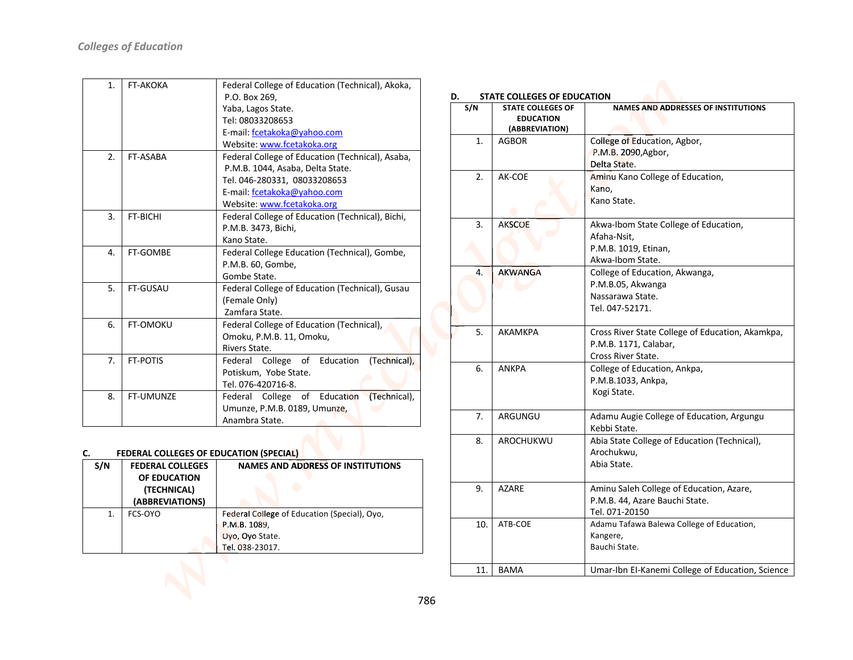| 1.           | <b>FT-AKOKA</b>  | Federal College of Education (Technical), Akoka,      |
|--------------|------------------|-------------------------------------------------------|
|              |                  | P.O. Box 269,                                         |
|              |                  | Yaba, Lagos State.                                    |
|              |                  | Tel: 08033208653                                      |
|              |                  | E-mail: fcetakoka@yahoo.com                           |
|              |                  | Website: www.fcetakoka.org                            |
| 2.           | FT-ASABA         | Federal College of Education (Technical), Asaba,      |
|              |                  | P.M.B. 1044, Asaba, Delta State.                      |
|              |                  | Tel. 046-280331, 08033208653                          |
|              |                  | E-mail: fcetakoka@yahoo.com                           |
|              |                  | Website: www.fcetakoka.org                            |
| 3.           | FT-BICHI         | Federal College of Education (Technical), Bichi,      |
|              |                  | P.M.B. 3473, Bichi,                                   |
|              |                  | Kano State.                                           |
| $\mathbf{4}$ | FT-GOMBE         | Federal College Education (Technical), Gombe,         |
|              |                  | P.M.B. 60, Gombe,                                     |
|              |                  | Gombe State.                                          |
| 5.           | FT-GUSAU         | Federal College of Education (Technical), Gusau       |
|              |                  | (Female Only)                                         |
|              |                  | Zamfara State.                                        |
| 6.           | <b>FT-OMOKU</b>  | Federal College of Education (Technical),             |
|              |                  | Omoku, P.M.B. 11, Omoku,                              |
|              |                  | Rivers State.                                         |
| 7.           | <b>FT-POTIS</b>  | of Education<br>(Technical),<br>College<br>Federal    |
|              |                  | Potiskum, Yobe State.                                 |
|              |                  | Tel. 076-420716-8.                                    |
| 8.           | <b>FT-UMUNZE</b> | (Technical),<br>Education<br>Federal<br>College<br>of |
|              |                  | Umunze, P.M.B. 0189, Umunze,                          |
|              |                  | Anambra State.                                        |

#### c. FEDERAL COLLEGES OF EDUCATION (SPECIAL)

| S/N | <b>FEDERAL COLLEGES</b><br>OF EDUCATION<br>(TECHNICAL)<br>(ABBREVIATIONS) | NAMES AND ADDRESS OF INSTITUTIONS                                                                  |
|-----|---------------------------------------------------------------------------|----------------------------------------------------------------------------------------------------|
| 1.  | FCS-OYO                                                                   | Federal College of Education (Special), Ovo,<br>P.M.B. 1089,<br>Oyo, Oyo State.<br>Tel. 038-23017. |

| S/N | <b>STATE COLLEGES OF</b><br><b>EDUCATION</b><br>(ABBREVIATION) | <b>NAMES AND ADDRESSES OF INSTITUTIONS</b>                                                       |
|-----|----------------------------------------------------------------|--------------------------------------------------------------------------------------------------|
| 1.  | AGBOR                                                          | College of Education, Agbor,<br>P.M.B. 2090, Agbor,<br>Delta State.                              |
| 2.  | AK-COE                                                         | Aminu Kano College of Education,<br>Kano,<br>Kano State.                                         |
| 3.  | <b>AKSCOE</b>                                                  | Akwa-Ibom State College of Education,<br>Afaha-Nsit,<br>P.M.B. 1019, Etinan,<br>Akwa-Ibom State. |
| 4.  | <b>AKWANGA</b>                                                 | College of Education, Akwanga,<br>P.M.B.05, Akwanga<br>Nassarawa State.<br>Tel. 047-52171.       |
| 5.  | AKAMKPA                                                        | Cross River State College of Education, Akamkpa,<br>P.M.B. 1171, Calabar,<br>Cross River State.  |
| 6.  | <b>ANKPA</b>                                                   | College of Education, Ankpa,<br>P.M.B.1033, Ankpa,<br>Kogi State.                                |
| 7.  | ARGUNGU                                                        | Adamu Augie College of Education, Argungu<br>Kebbi State.                                        |
| 8.  | AROCHUKWU                                                      | Abia State College of Education (Technical),<br>Arochukwu,<br>Abia State.                        |
| 9.  | <b>AZARE</b>                                                   | Aminu Saleh College of Education, Azare,<br>P.M.B. 44, Azare Bauchi State.<br>Tel. 071-20150     |
| 10. | ATB-COE                                                        | Adamu Tafawa Balewa College of Education,<br>Kangere,<br>Bauchi State.                           |
| 11. | <b>BAMA</b>                                                    | Umar-Ibn EI-Kanemi College of Education, Science                                                 |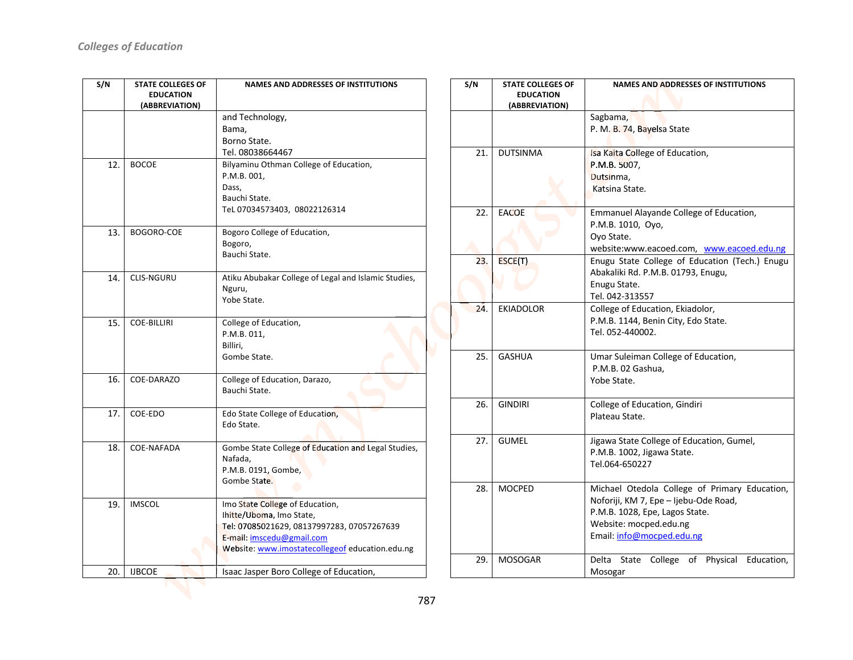| S/N | <b>STATE COLLEGES OF</b>           | <b>NAMES AND ADDRESSES OF INSTITUTIONS</b>           |
|-----|------------------------------------|------------------------------------------------------|
|     | <b>EDUCATION</b><br>(ABBREVIATION) |                                                      |
|     |                                    | and Technology,                                      |
|     |                                    | Bama,                                                |
|     |                                    | Borno State.                                         |
|     |                                    | Tel. 08038664467                                     |
|     |                                    |                                                      |
| 12. | <b>BOCOE</b>                       | Bilyaminu Othman College of Education,               |
|     |                                    | P.M.B. 001,<br>Dass,                                 |
|     |                                    | Bauchi State.                                        |
|     |                                    | Tel 07034573403, 08022126314                         |
|     |                                    |                                                      |
| 13. | BOGORO-COE                         | Bogoro College of Education,                         |
|     |                                    | Bogoro,                                              |
|     |                                    | Bauchi State.                                        |
|     |                                    |                                                      |
| 14. | <b>CLIS-NGURU</b>                  | Atiku Abubakar College of Legal and Islamic Studies, |
|     |                                    | Nguru,                                               |
|     |                                    | Yobe State.                                          |
|     |                                    |                                                      |
| 15. | <b>COE-BILLIRI</b>                 | College of Education,                                |
|     |                                    | P.M.B. 011,                                          |
|     |                                    | Billiri.                                             |
|     |                                    | Gombe State.                                         |
| 16. | COE-DARAZO                         | College of Education, Darazo,                        |
|     |                                    | Bauchi State.                                        |
|     |                                    |                                                      |
| 17. | COE-EDO                            | Edo State College of Education,                      |
|     |                                    | Edo State.                                           |
|     |                                    |                                                      |
| 18. | COE-NAFADA                         | Gombe State College of Education and Legal Studies,  |
|     |                                    | Nafada,                                              |
|     |                                    | P.M.B. 0191, Gombe,                                  |
|     |                                    | Gombe State.                                         |
|     |                                    |                                                      |
| 19. | <b>IMSCOL</b>                      | Imo State College of Education,                      |
|     |                                    | Ihitte/Uboma, Imo State,                             |
|     |                                    | Tel: 07085021629, 08137997283, 07057267639           |
|     |                                    | E-mail: imscedu@gmail.com                            |
|     |                                    | Website: www.imostatecollegeof education.edu.ng      |
| 20. | <b>IJBCOE</b>                      | Isaac Jasper Boro College of Education,              |
|     |                                    |                                                      |
|     |                                    |                                                      |

| S/N | <b>STATE COLLEGES OF</b><br><b>EDUCATION</b> | <b>NAMES AND ADDRESSES OF INSTITUTIONS</b>                              |
|-----|----------------------------------------------|-------------------------------------------------------------------------|
|     | (ABBREVIATION)                               |                                                                         |
|     |                                              | Sagbama,                                                                |
|     |                                              | P. M. B. 74, Bayelsa State                                              |
| 21. | <b>DUTSINMA</b>                              | Isa Kaita College of Education,                                         |
|     |                                              | P.M.B. 5007,                                                            |
|     |                                              | Dutsinma,<br>Katsina State.                                             |
|     |                                              |                                                                         |
| 22. | <b>EACOE</b>                                 | Emmanuel Alayande College of Education,                                 |
|     |                                              | P.M.B. 1010, Oyo,                                                       |
|     |                                              | Oyo State.<br>website:www.eacoed.com, www.eacoed.edu.ng                 |
| 23. | ESCE(T)                                      | Enugu State College of Education (Tech.) Enugu                          |
|     |                                              | Abakaliki Rd. P.M.B. 01793, Enugu,                                      |
|     |                                              | Enugu State.                                                            |
|     |                                              | Tel. 042-313557                                                         |
| 24. | <b>EKIADOLOR</b>                             | College of Education, Ekiadolor,                                        |
|     |                                              | P.M.B. 1144, Benin City, Edo State.                                     |
|     |                                              | Tel. 052-440002.                                                        |
| 25. | <b>GASHUA</b>                                | Umar Suleiman College of Education,                                     |
|     |                                              | P.M.B. 02 Gashua,                                                       |
|     |                                              | Yobe State.                                                             |
| 26. | <b>GINDIRI</b>                               | College of Education, Gindiri                                           |
|     |                                              | Plateau State.                                                          |
| 27. | <b>GUMEL</b>                                 |                                                                         |
|     |                                              | Jigawa State College of Education, Gumel,<br>P.M.B. 1002, Jigawa State. |
|     |                                              | Tel.064-650227                                                          |
|     |                                              |                                                                         |
| 28. | <b>MOCPED</b>                                | Michael Otedola College of Primary Education,                           |
|     |                                              | Noforiji, KM 7, Epe - Ijebu-Ode Road,                                   |
|     |                                              | P.M.B. 1028, Epe, Lagos State.                                          |
|     |                                              | Website: mocped.edu.ng                                                  |
|     |                                              | Email: info@mocped.edu.ng                                               |
| 29. | <b>MOSOGAR</b>                               | Physical<br>Education,<br>Delta<br>State<br>College<br>of               |
|     |                                              | Mosogar                                                                 |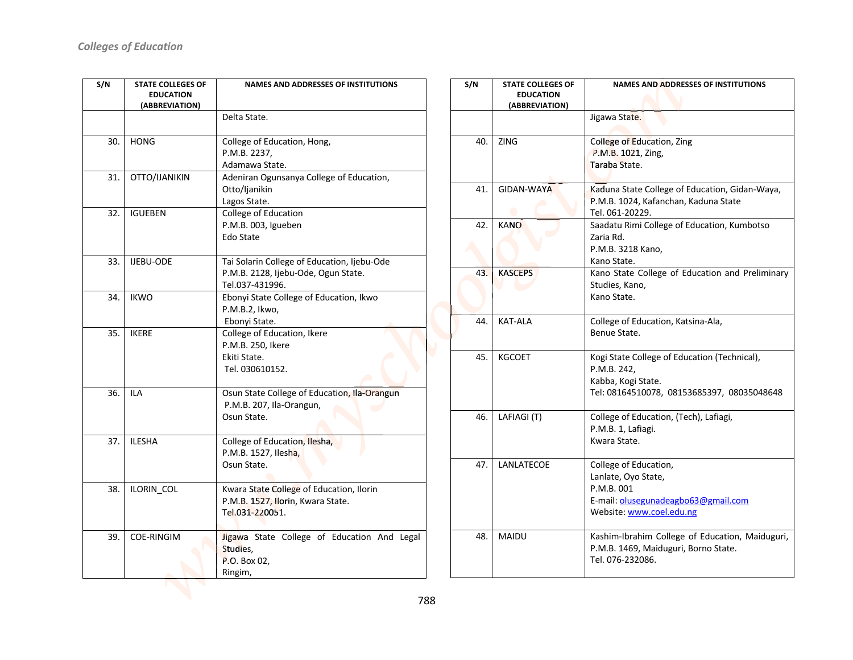| S/N | <b>STATE COLLEGES OF</b><br><b>EDUCATION</b><br>(ABBREVIATION) | <b>NAMES AND ADDRESSES OF INSTITUTIONS</b>                                                            |
|-----|----------------------------------------------------------------|-------------------------------------------------------------------------------------------------------|
|     |                                                                | Delta State.                                                                                          |
| 30. | <b>HONG</b>                                                    | College of Education, Hong,<br>P.M.B. 2237,<br>Adamawa State.                                         |
| 31. | OTTO/IJANIKIN                                                  | Adeniran Ogunsanya College of Education,<br>Otto/Ijanikin<br>Lagos State.                             |
| 32. | <b>IGUEBEN</b>                                                 | College of Education<br>P.M.B. 003, Igueben<br>Edo State                                              |
| 33. | <b>IJEBU-ODE</b>                                               | Tai Solarin College of Education, Ijebu-Ode<br>P.M.B. 2128, Ijebu-Ode, Ogun State.<br>Tel.037-431996. |
| 34. | <b>IKWO</b>                                                    | Ebonyi State College of Education, Ikwo<br>P.M.B.2, Ikwo,<br>Ebonyi State.                            |
| 35. | <b>IKERE</b>                                                   | College of Education, Ikere<br>P.M.B. 250, Ikere<br>Ekiti State.<br>Tel. 030610152.                   |
| 36. | <b>ILA</b>                                                     | Osun State College of Education, Ila-Orangun<br>P.M.B. 207, Ila-Orangun,<br>Osun State.               |
| 37. | <b>ILESHA</b>                                                  | College of Education, Ilesha,<br>P.M.B. 1527, Ilesha,<br>Osun State.                                  |
| 38. | ILORIN_COL                                                     | Kwara State College of Education, Ilorin<br>P.M.B. 1527, Ilorin, Kwara State.<br>Tel.031-220051.      |
| 39. | <b>COE-RINGIM</b>                                              | Jigawa State College of Education And Legal<br>Studies,<br>P.O. Box 02,<br>Ringim,                    |

| S/N | <b>STATE COLLEGES OF</b><br><b>EDUCATION</b> | <b>NAMES AND ADDRESSES OF INSTITUTIONS</b>                                             |
|-----|----------------------------------------------|----------------------------------------------------------------------------------------|
|     | (ABBREVIATION)                               |                                                                                        |
|     |                                              | Jigawa State.                                                                          |
|     | 40.<br><b>ZING</b>                           | College of Education, Zing                                                             |
|     |                                              | P.M.B. 1021, Zing,                                                                     |
|     |                                              | Taraba State.                                                                          |
|     |                                              |                                                                                        |
|     | GIDAN-WAYA<br>41.                            | Kaduna State College of Education, Gidan-Waya,<br>P.M.B. 1024, Kafanchan, Kaduna State |
|     |                                              | Tel. 061-20229.                                                                        |
|     | 42.<br><b>KANO</b>                           | Saadatu Rimi College of Education, Kumbotso                                            |
|     |                                              | Zaria Rd.                                                                              |
|     |                                              | P.M.B. 3218 Kano,                                                                      |
|     |                                              | Kano State.                                                                            |
|     | 43.<br><b>KASCEPS</b>                        | Kano State College of Education and Preliminary                                        |
|     |                                              | Studies, Kano,                                                                         |
|     |                                              | Kano State.                                                                            |
|     | <b>KAT-ALA</b><br>44.                        | College of Education, Katsina-Ala,                                                     |
|     |                                              | Benue State.                                                                           |
|     |                                              |                                                                                        |
|     | 45.<br><b>KGCOET</b>                         | Kogi State College of Education (Technical),                                           |
|     |                                              | P.M.B. 242,<br>Kabba, Kogi State.                                                      |
|     |                                              | Tel: 08164510078, 08153685397, 08035048648                                             |
|     |                                              |                                                                                        |
|     | 46.<br>LAFIAGI (T)                           | College of Education, (Tech), Lafiagi,                                                 |
|     |                                              | P.M.B. 1, Lafiagi.                                                                     |
|     |                                              | Kwara State.                                                                           |
|     | 47.<br>LANLATECOE                            | College of Education,                                                                  |
|     |                                              | Lanlate, Oyo State,                                                                    |
|     |                                              | P.M.B. 001                                                                             |
|     |                                              | E-mail: olusegunadeagbo63@gmail.com                                                    |
|     |                                              | Website: www.coel.edu.ng                                                               |
|     | <b>MAIDU</b><br>48.                          | Kashim-Ibrahim College of Education, Maiduguri,                                        |
|     |                                              | P.M.B. 1469, Maiduguri, Borno State.                                                   |
|     |                                              | Tel. 076-232086.                                                                       |
|     |                                              |                                                                                        |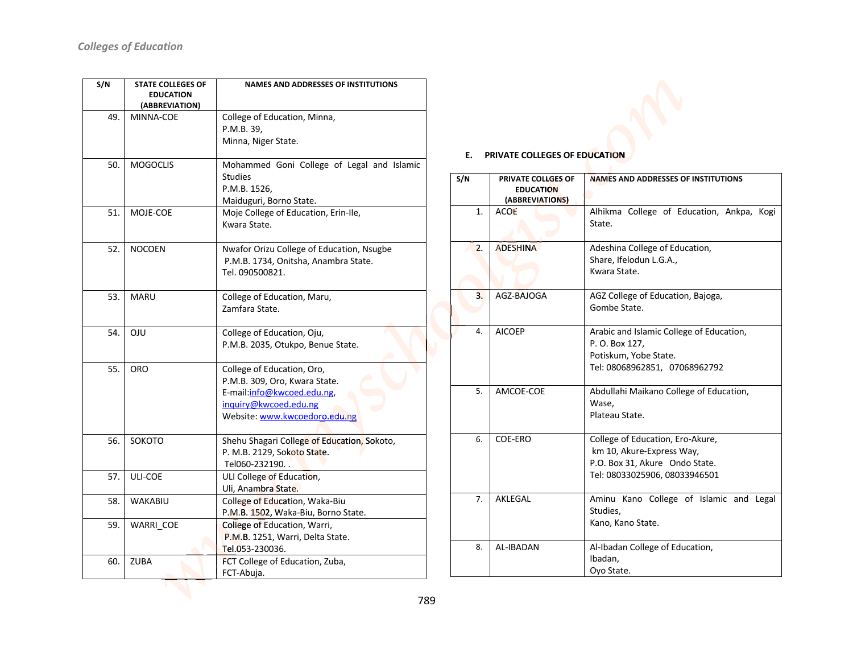| S/N | <b>STATE COLLEGES OF</b><br><b>EDUCATION</b><br>(ABBREVIATION) | <b>NAMES AND ADDRESSES OF INSTITUTIONS</b>                                                                                                          |
|-----|----------------------------------------------------------------|-----------------------------------------------------------------------------------------------------------------------------------------------------|
| 49. | MINNA-COE                                                      | College of Education, Minna,<br>P.M.B. 39,<br>Minna, Niger State.                                                                                   |
| 50. | <b>MOGOCLIS</b>                                                | Mohammed Goni College of Legal and Islamic<br><b>Studies</b><br>P.M.B. 1526,<br>Maiduguri, Borno State.                                             |
| 51. | MOJE-COE                                                       | Moje College of Education, Erin-Ile,<br>Kwara State.                                                                                                |
| 52. | <b>NOCOEN</b>                                                  | Nwafor Orizu College of Education, Nsugbe<br>P.M.B. 1734, Onitsha, Anambra State.<br>Tel. 090500821.                                                |
| 53. | <b>MARU</b>                                                    | College of Education, Maru,<br>Zamfara State.                                                                                                       |
| 54. | <b>OJU</b>                                                     | College of Education, Oju,<br>P.M.B. 2035, Otukpo, Benue State.                                                                                     |
| 55. | <b>ORO</b>                                                     | College of Education, Oro,<br>P.M.B. 309, Oro, Kwara State.<br>E-mail:info@kwcoed.edu.ng,<br>inquiry@kwcoed.edu.ng<br>Website: www.kwcoedoro.edu.ng |
| 56. | <b>SOKOTO</b>                                                  | Shehu Shagari College of Education, Sokoto,<br>P. M.B. 2129, Sokoto State.<br>Tel060-232190                                                         |
| 57. | ULI-COE                                                        | ULI College of Education,<br>Uli, Anambra State.                                                                                                    |
| 58. | <b>WAKABIU</b>                                                 | College of Education, Waka-Biu<br>P.M.B. 1502, Waka-Biu, Borno State.                                                                               |
| 59. | WARRI COE                                                      | College of Education, Warri,<br>P.M.B. 1251, Warri, Delta State.<br>Tel.053-230036.                                                                 |
| 60. | <b>ZUBA</b>                                                    | FCT College of Education, Zuba,<br>FCT-Abuja.                                                                                                       |

## E. PRIVATE COLLEGES OF EDUCATION

| S/N | <b>PRIVATE COLLGES OF</b><br><b>EDUCATION</b><br>(ABBREVIATIONS) | <b>NAMES AND ADDRESSES OF INSTITUTIONS</b>                                                                                       |
|-----|------------------------------------------------------------------|----------------------------------------------------------------------------------------------------------------------------------|
| 1.  | <b>ACOE</b>                                                      | Alhikma College of Education, Ankpa, Kogi<br>State.                                                                              |
| 2.  | <b>ADESHINA</b>                                                  | Adeshina College of Education,<br>Share, Ifelodun L.G.A.,<br>Kwara State.                                                        |
| 3.  | AGZ-BAJOGA                                                       | AGZ College of Education, Bajoga,<br>Gombe State.                                                                                |
| 4.  | <b>AICOEP</b>                                                    | Arabic and Islamic College of Education,<br>P. O. Box 127,<br>Potiskum, Yobe State.<br>Tel: 08068962851, 07068962792             |
| 5.  | AMCOE-COE                                                        | Abdullahi Maikano College of Education,<br>Wase.<br>Plateau State.                                                               |
| 6.  | COE-ERO                                                          | College of Education, Ero-Akure,<br>km 10, Akure-Express Way,<br>P.O. Box 31, Akure Ondo State.<br>Tel: 08033025906, 08033946501 |
| 7.  | AKLEGAL                                                          | Aminu Kano College of Islamic and Legal<br>Studies,<br>Kano, Kano State.                                                         |
| 8.  | AL-IBADAN                                                        | Al-Ibadan College of Education,<br>Ibadan,<br>Oyo State.                                                                         |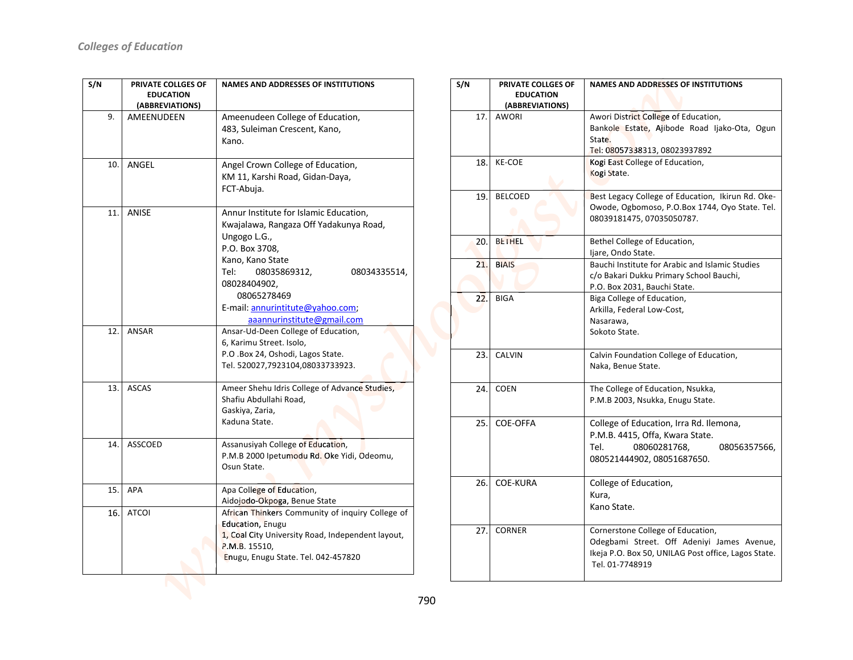| S/N | <b>PRIVATE COLLGES OF</b><br><b>EDUCATION</b> | <b>NAMES AND ADDRESSES OF INSTITUTIONS</b>                                       |  |
|-----|-----------------------------------------------|----------------------------------------------------------------------------------|--|
|     | (ABBREVIATIONS)                               |                                                                                  |  |
| 9.  | AMEENUDEEN                                    | Ameenudeen College of Education,                                                 |  |
|     |                                               | 483, Suleiman Crescent, Kano,                                                    |  |
|     |                                               | Kano.                                                                            |  |
|     |                                               |                                                                                  |  |
| 10. | ANGEL                                         | Angel Crown College of Education,                                                |  |
|     |                                               | KM 11, Karshi Road, Gidan-Daya,                                                  |  |
|     |                                               | FCT-Abuja.                                                                       |  |
| 11. | <b>ANISE</b>                                  | Annur Institute for Islamic Education,                                           |  |
|     |                                               | Kwajalawa, Rangaza Off Yadakunya Road,                                           |  |
|     |                                               | Ungogo L.G.,                                                                     |  |
|     |                                               | P.O. Box 3708,                                                                   |  |
|     |                                               | Kano, Kano State                                                                 |  |
|     |                                               | Tel:<br>08035869312,<br>08034335514,                                             |  |
|     |                                               | 08028404902,                                                                     |  |
|     |                                               | 08065278469                                                                      |  |
|     |                                               | E-mail: annurintitute@yahoo.com;                                                 |  |
|     |                                               | aaannurinstitute@gmail.com                                                       |  |
| 12. | <b>ANSAR</b>                                  | Ansar-Ud-Deen College of Education,                                              |  |
|     |                                               | 6, Karimu Street. Isolo,<br>P.O .Box 24, Oshodi, Lagos State.                    |  |
|     |                                               | Tel. 520027,7923104,08033733923.                                                 |  |
|     |                                               |                                                                                  |  |
| 13. | <b>ASCAS</b>                                  | Ameer Shehu Idris College of Advance Studies,                                    |  |
|     |                                               | Shafiu Abdullahi Road,                                                           |  |
|     |                                               | Gaskiya, Zaria,                                                                  |  |
|     |                                               | Kaduna State.                                                                    |  |
| 14. | <b>ASSCOED</b>                                | Assanusiyah College of Education,                                                |  |
|     |                                               | P.M.B 2000 Ipetumodu Rd. Oke Yidi, Odeomu,                                       |  |
|     |                                               | Osun State.                                                                      |  |
|     |                                               |                                                                                  |  |
| 15. | <b>APA</b>                                    | Apa College of Education,                                                        |  |
| 16. | <b>ATCOI</b>                                  | Aidojodo-Okpoga, Benue State<br>African Thinkers Community of inquiry College of |  |
|     |                                               | <b>Education, Enugu</b>                                                          |  |
|     |                                               | 1, Coal City University Road, Independent layout,                                |  |
|     |                                               | P.M.B. 15510,                                                                    |  |
|     |                                               | Enugu, Enugu State. Tel. 042-457820                                              |  |
|     |                                               |                                                                                  |  |

| S/N | PRIVATE COLLGES OF<br><b>EDUCATION</b><br>(ABBREVIATIONS) | <b>NAMES AND ADDRESSES OF INSTITUTIONS</b>                                                                                                                |
|-----|-----------------------------------------------------------|-----------------------------------------------------------------------------------------------------------------------------------------------------------|
| 17. | <b>AWORI</b>                                              | Awori District College of Education,<br>Bankole Estate, Ajibode Road Ijako-Ota, Ogun<br>State.<br>Tel: 08057338313, 08023937892                           |
| 18. | <b>KE-COE</b>                                             | Kogi East College of Education,<br>Kogi State.                                                                                                            |
| 19. | <b>BELCOED</b>                                            | Best Legacy College of Education, Ikirun Rd. Oke-<br>Owode, Ogbomoso, P.O.Box 1744, Oyo State. Tel.<br>08039181475, 07035050787.                          |
| 20. | <b>BETHEL</b>                                             | Bethel College of Education,<br>Ijare, Ondo State.                                                                                                        |
| 21. | <b>BIAIS</b>                                              | Bauchi Institute for Arabic and Islamic Studies<br>c/o Bakari Dukku Primary School Bauchi,<br>P.O. Box 2031, Bauchi State.                                |
| 22. | <b>BIGA</b>                                               | Biga College of Education,<br>Arkilla, Federal Low-Cost,<br>Nasarawa,<br>Sokoto State.                                                                    |
| 23. | <b>CALVIN</b>                                             | Calvin Foundation College of Education,<br>Naka, Benue State.                                                                                             |
| 24. | <b>COEN</b>                                               | The College of Education, Nsukka,<br>P.M.B 2003, Nsukka, Enugu State.                                                                                     |
| 25. | <b>COE-OFFA</b>                                           | College of Education, Irra Rd. Ilemona,<br>P.M.B. 4415, Offa, Kwara State.<br>Tel.<br>08060281768,<br>08056357566,<br>080521444902, 08051687650.          |
| 26. | <b>COE-KURA</b>                                           | College of Education,<br>Kura,<br>Kano State.                                                                                                             |
| 27. | <b>CORNER</b>                                             | Cornerstone College of Education,<br>Odegbami Street. Off Adeniyi James Avenue,<br>Ikeja P.O. Box 50, UNILAG Post office, Lagos State.<br>Tel. 01-7748919 |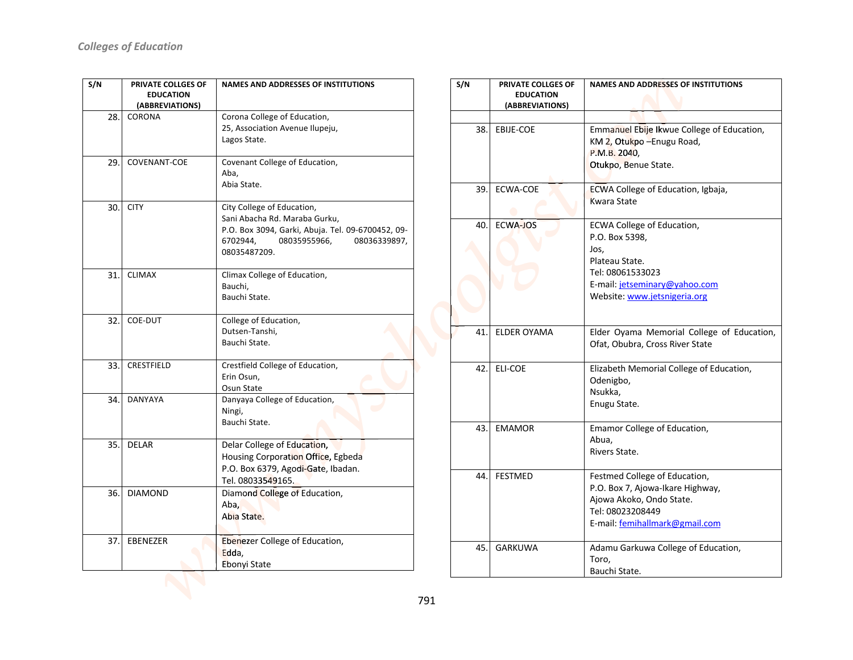| S/N | PRIVATE COLLGES OF               | <b>NAMES AND ADDRESSES OF INSTITUTIONS</b>        |  |
|-----|----------------------------------|---------------------------------------------------|--|
|     | <b>EDUCATION</b>                 |                                                   |  |
| 28. | (ABBREVIATIONS)<br><b>CORONA</b> | Corona College of Education,                      |  |
|     |                                  | 25, Association Avenue Ilupeju,                   |  |
|     |                                  | Lagos State.                                      |  |
|     |                                  |                                                   |  |
| 29. | <b>COVENANT-COE</b>              | Covenant College of Education,                    |  |
|     |                                  | Aba,                                              |  |
|     |                                  | Abia State.                                       |  |
| 30. | <b>CITY</b>                      | City College of Education,                        |  |
|     |                                  | Sani Abacha Rd. Maraba Gurku,                     |  |
|     |                                  | P.O. Box 3094, Garki, Abuja. Tel. 09-6700452, 09- |  |
|     |                                  | 6702944,<br>08035955966,<br>08036339897,          |  |
|     |                                  | 08035487209.                                      |  |
| 31. | <b>CLIMAX</b>                    | Climax College of Education,                      |  |
|     |                                  | Bauchi,                                           |  |
|     |                                  | Bauchi State.                                     |  |
|     |                                  |                                                   |  |
| 32. | COE-DUT                          | College of Education,                             |  |
|     |                                  | Dutsen-Tanshi,<br>Bauchi State.                   |  |
|     |                                  |                                                   |  |
| 33. | CRESTFIELD                       | Crestfield College of Education,                  |  |
|     |                                  | Erin Osun,                                        |  |
|     |                                  | Osun State                                        |  |
| 34. | <b>DANYAYA</b>                   | Danyaya College of Education,<br>Ningi,           |  |
|     |                                  | Bauchi State.                                     |  |
|     |                                  |                                                   |  |
| 35. | <b>DELAR</b>                     | Delar College of Education,                       |  |
|     |                                  | Housing Corporation Office, Egbeda                |  |
|     |                                  | P.O. Box 6379, Agodi-Gate, Ibadan.                |  |
|     |                                  | Tel. 08033549165.                                 |  |
| 36. | <b>DIAMOND</b>                   | Diamond College of Education,                     |  |
|     |                                  | Aba,                                              |  |
|     |                                  | Abia State.                                       |  |
| 37. | <b>EBENEZER</b>                  | Ebenezer College of Education,                    |  |
|     |                                  | Edda,                                             |  |
|     |                                  | Ebonyi State                                      |  |
|     |                                  |                                                   |  |
|     |                                  |                                                   |  |

| S/N | PRIVATE COLLGES OF<br><b>EDUCATION</b><br>(ABBREVIATIONS) | <b>NAMES AND ADDRESSES OF INSTITUTIONS</b>                                                                                                                  |
|-----|-----------------------------------------------------------|-------------------------------------------------------------------------------------------------------------------------------------------------------------|
|     |                                                           |                                                                                                                                                             |
| 38. | EBIJE-COE                                                 | Emmanuel Ebije Ikwue College of Education,<br>KM 2, Otukpo - Enugu Road,<br>P.M.B. 2040,<br>Otukpo, Benue State.                                            |
| 39. | <b>ECWA-COE</b>                                           | ECWA College of Education, Igbaja,<br><b>Kwara State</b>                                                                                                    |
| 40. | <b>ECWA-JOS</b>                                           | ECWA College of Education,<br>P.O. Box 5398,<br>Jos,<br>Plateau State.<br>Tel: 08061533023<br>E-mail: jetseminary@yahoo.com<br>Website: www.jetsnigeria.org |
| 41. | <b>ELDER OYAMA</b>                                        | Elder Oyama Memorial College of Education,<br>Ofat, Obubra, Cross River State                                                                               |
| 42. | <b>ELI-COE</b>                                            | Elizabeth Memorial College of Education,<br>Odenigbo,<br>Nsukka,<br>Enugu State.                                                                            |
| 43. | <b>EMAMOR</b>                                             | Emamor College of Education,<br>Abua.<br>Rivers State.                                                                                                      |
| 44. | <b>FESTMED</b>                                            | Festmed College of Education,<br>P.O. Box 7, Ajowa-Ikare Highway,<br>Ajowa Akoko, Ondo State.<br>Tel: 08023208449<br>E-mail: femihallmark@gmail.com         |
| 45. | <b>GARKUWA</b>                                            | Adamu Garkuwa College of Education,<br>Toro,<br>Bauchi State.                                                                                               |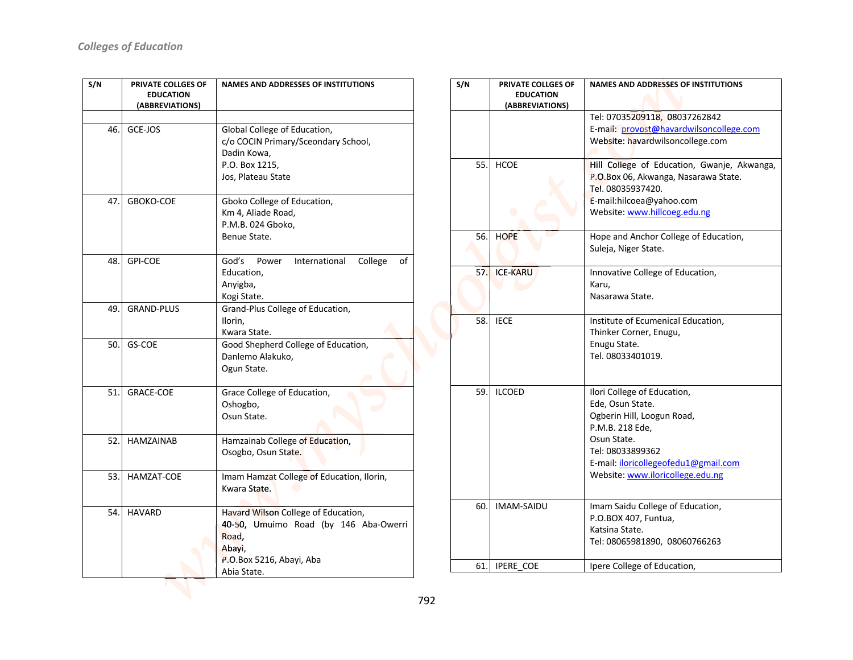| S/N | PRIVATE COLLGES OF<br><b>EDUCATION</b><br>(ABBREVIATIONS) | <b>NAMES AND ADDRESSES OF INSTITUTIONS</b>                                                                                                 |
|-----|-----------------------------------------------------------|--------------------------------------------------------------------------------------------------------------------------------------------|
| 46. | GCE-JOS                                                   | Global College of Education,<br>c/o COCIN Primary/Sceondary School,<br>Dadin Kowa,<br>P.O. Box 1215,<br>Jos, Plateau State                 |
| 47. | GBOKO-COE                                                 | Gboko College of Education,<br>Km 4, Aliade Road,<br>P.M.B. 024 Gboko,<br>Benue State.                                                     |
| 48. | <b>GPI-COE</b>                                            | God's<br>International<br>College<br>of<br>Power<br>Education,<br>Anyigba,<br>Kogi State.                                                  |
| 49. | <b>GRAND-PLUS</b>                                         | Grand-Plus College of Education,<br>Ilorin,<br>Kwara State.                                                                                |
| 50. | GS-COE                                                    | Good Shepherd College of Education,<br>Danlemo Alakuko,<br>Ogun State.                                                                     |
| 51. | <b>GRACE-COE</b>                                          | Grace College of Education,<br>Oshogbo,<br>Osun State.                                                                                     |
| 52. | <b>HAMZAINAB</b>                                          | Hamzainab College of Education,<br>Osogbo, Osun State.                                                                                     |
| 53. | HAMZAT-COE                                                | Imam Hamzat College of Education, Ilorin,<br>Kwara State.                                                                                  |
| 54. | <b>HAVARD</b>                                             | Havard Wilson College of Education,<br>40-50, Umuimo Road (by 146 Aba-Owerri<br>Road,<br>Abayi,<br>P.O.Box 5216, Abayi, Aba<br>Abia State. |

| S/N | PRIVATE COLLGES OF<br><b>EDUCATION</b><br>(ABBREVIATIONS) | <b>NAMES AND ADDRESSES OF INSTITUTIONS</b>                                                                                                                                                                      |
|-----|-----------------------------------------------------------|-----------------------------------------------------------------------------------------------------------------------------------------------------------------------------------------------------------------|
|     |                                                           | Tel: 07035209118, 08037262842<br>E-mail: provost@havardwilsoncollege.com<br>Website: havardwilsoncollege.com                                                                                                    |
| 55. | <b>HCOE</b>                                               | Hill College of Education, Gwanje, Akwanga,<br>P.O.Box 06, Akwanga, Nasarawa State.<br>Tel. 08035937420.<br>E-mail:hilcoea@yahoo.com<br>Website: www.hillcoeg.edu.ng                                            |
| 56. | <b>HOPE</b>                                               | Hope and Anchor College of Education,<br>Suleja, Niger State.                                                                                                                                                   |
| 57. | <b>ICE-KARU</b>                                           | Innovative College of Education,<br>Karu,<br>Nasarawa State.                                                                                                                                                    |
| 58. | <b>IECE</b>                                               | Institute of Ecumenical Education,<br>Thinker Corner, Enugu,<br>Enugu State.<br>Tel. 08033401019.                                                                                                               |
| 59. | <b>ILCOED</b>                                             | Ilori College of Education,<br>Ede, Osun State.<br>Ogberin Hill, Loogun Road,<br>P.M.B. 218 Ede.<br>Osun State.<br>Tel: 08033899362<br>E-mail: iloricollegeofedu1@gmail.com<br>Website: www.iloricollege.edu.ng |
| 60. | <b>IMAM-SAIDU</b>                                         | Imam Saidu College of Education,<br>P.O.BOX 407, Funtua,<br>Katsina State.<br>Tel: 08065981890, 08060766263                                                                                                     |
| 61. | <b>IPERE COE</b>                                          | Ipere College of Education,                                                                                                                                                                                     |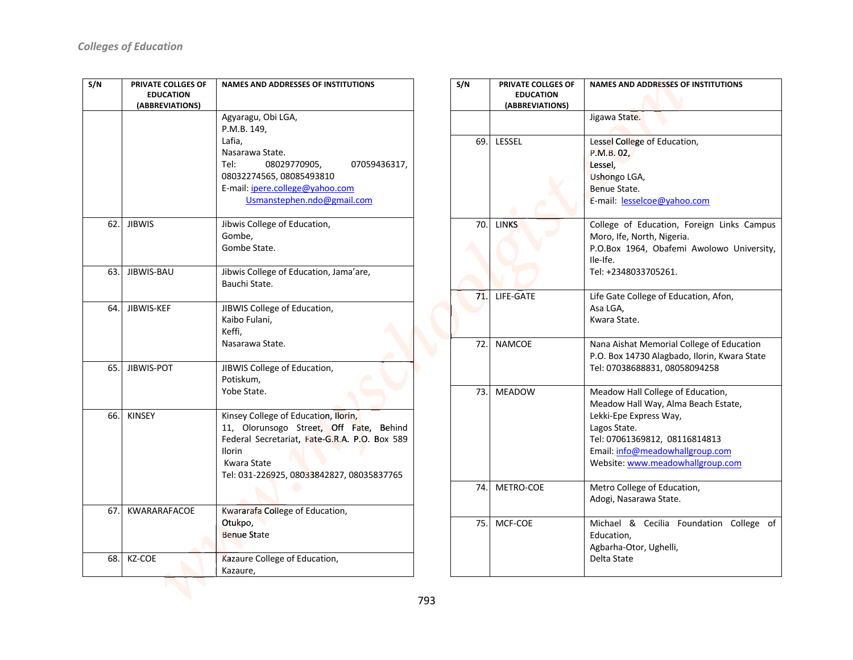| S/N  | PRIVATE COLLGES OF<br><b>EDUCATION</b><br>(ABBREVIATIONS) | <b>NAMES AND ADDRESSES OF INSTITUTIONS</b><br>Agyaragu, Obi LGA,<br>P.M.B. 149,                                                                                                                               |  |
|------|-----------------------------------------------------------|---------------------------------------------------------------------------------------------------------------------------------------------------------------------------------------------------------------|--|
|      |                                                           | Lafia,<br>Nasarawa State.<br>Tel:<br>08029770905,<br>07059436317,<br>08032274565, 08085493810<br>E-mail: ipere.college@yahoo.com<br>Usmanstephen.ndo@gmail.com                                                |  |
| 62.  | <b>JIBWIS</b>                                             | Jibwis College of Education,<br>Gombe,<br>Gombe State.                                                                                                                                                        |  |
| 63.  | JIBWIS-BAU                                                | Jibwis College of Education, Jama'are,<br>Bauchi State.                                                                                                                                                       |  |
| 64.I | JIBWIS-KEF                                                | JIBWIS College of Education,<br>Kaibo Fulani,<br>Keffi,<br>Nasarawa State.                                                                                                                                    |  |
| 65.1 | JIBWIS-POT                                                | JIBWIS College of Education,<br>Potiskum,<br>Yobe State.                                                                                                                                                      |  |
| 66.  | <b>KINSEY</b>                                             | Kinsey College of Education, Ilorin,<br>11, Olorunsogo Street, Off Fate, Behind<br>Federal Secretariat, Fate-G.R.A. P.O. Box 589<br><b>Ilorin</b><br>Kwara State<br>Tel: 031-226925, 08033842827, 08035837765 |  |
| 67.  | KWARARAFACOE                                              | Kwararafa College of Education,<br>Otukpo,<br><b>Benue State</b>                                                                                                                                              |  |
| 68.  | KZ-COE                                                    | Kazaure College of Education,<br>Kazaure,                                                                                                                                                                     |  |

| S/N | PRIVATE COLLGES OF<br><b>EDUCATION</b><br>(ABBREVIATIONS) | <b>NAMES AND ADDRESSES OF INSTITUTIONS</b>                                                                                                                                                                                 |
|-----|-----------------------------------------------------------|----------------------------------------------------------------------------------------------------------------------------------------------------------------------------------------------------------------------------|
|     |                                                           | Jigawa State.                                                                                                                                                                                                              |
| 69. | LESSEL                                                    | Lessel College of Education,<br>P.M.B. 02,<br>Lessel,<br><b>Ushongo LGA,</b><br>Benue State.<br>E-mail: lesselcoe@yahoo.com                                                                                                |
| 70. | <b>LINKS</b>                                              | College of Education, Foreign Links Campus<br>Moro, Ife, North, Nigeria.<br>P.O.Box 1964, Obafemi Awolowo University,<br>Ile-Ife.<br>Tel: +2348033705261.                                                                  |
| 71. | LIFE-GATE                                                 | Life Gate College of Education, Afon,<br>Asa LGA.<br>Kwara State.                                                                                                                                                          |
| 72. | <b>NAMCOE</b>                                             | Nana Aishat Memorial College of Education<br>P.O. Box 14730 Alagbado, Ilorin, Kwara State<br>Tel: 07038688831, 08058094258                                                                                                 |
| 73. | <b>MEADOW</b>                                             | Meadow Hall College of Education,<br>Meadow Hall Way, Alma Beach Estate,<br>Lekki-Epe Express Way,<br>Lagos State.<br>Tel: 07061369812, 08116814813<br>Email: info@meadowhallgroup.com<br>Website: www.meadowhallgroup.com |
| 74. | METRO-COE                                                 | Metro College of Education,<br>Adogi, Nasarawa State.                                                                                                                                                                      |
| 75. | MCF-COE                                                   | Michael & Cecilia Foundation College<br>οf<br>Education,<br>Agbarha-Otor, Ughelli,<br>Delta State                                                                                                                          |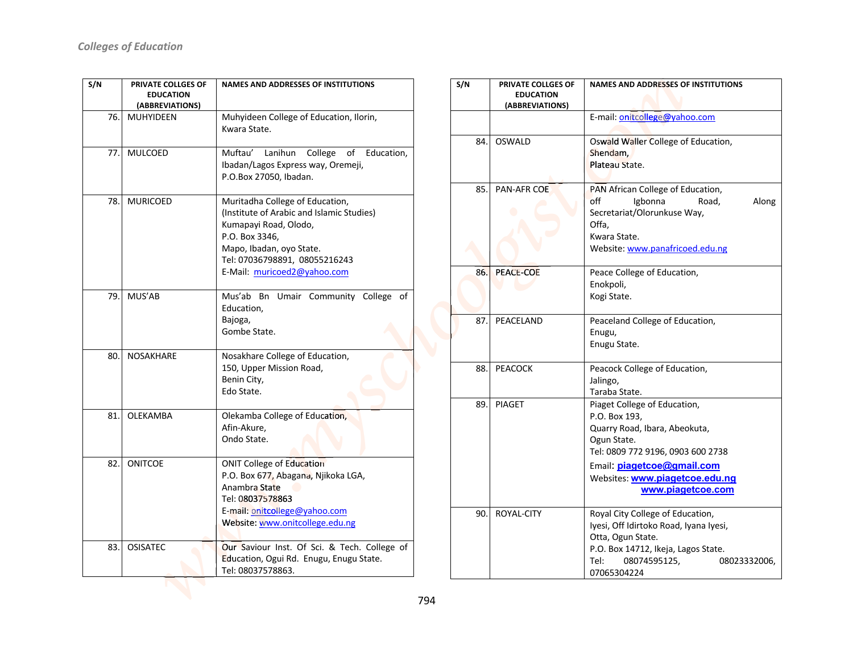| S/N | PRIVATE COLLGES OF<br><b>EDUCATION</b><br>(ABBREVIATIONS) | <b>NAMES AND ADDRESSES OF INSTITUTIONS</b>                                                                                                                                                                          |  |
|-----|-----------------------------------------------------------|---------------------------------------------------------------------------------------------------------------------------------------------------------------------------------------------------------------------|--|
| 76. | <b>MUHYIDEEN</b>                                          | Muhyideen College of Education, Ilorin,<br>Kwara State.                                                                                                                                                             |  |
| 77. | <b>MULCOED</b>                                            | Muftau'<br>Lanihun<br>College<br>of<br>Education,<br>Ibadan/Lagos Express way, Oremeji,<br>P.O.Box 27050, Ibadan.                                                                                                   |  |
| 78. | <b>MURICOED</b>                                           | Muritadha College of Education,<br>(Institute of Arabic and Islamic Studies)<br>Kumapayi Road, Olodo,<br>P.O. Box 3346,<br>Mapo, Ibadan, oyo State.<br>Tel: 07036798891, 08055216243<br>E-Mail: muricoed2@yahoo.com |  |
| 79. | MUS'AB                                                    | Mus'ab Bn Umair Community College of<br>Education,<br>Bajoga,<br>Gombe State.                                                                                                                                       |  |
| 80. | <b>NOSAKHARE</b>                                          | Nosakhare College of Education,<br>150, Upper Mission Road,<br>Benin City,<br>Edo State.                                                                                                                            |  |
| 81. | OLEKAMBA                                                  | Olekamba College of Education,<br>Afin-Akure.<br>Ondo State.                                                                                                                                                        |  |
| 82. | <b>ONITCOE</b>                                            | <b>ONIT College of Education</b><br>P.O. Box 677, Abagana, Njikoka LGA,<br>Anambra State<br>Tel: 08037578863<br>E-mail: onitcollege@yahoo.com<br>Website: www.onitcollege.edu.ng                                    |  |
| 83. | <b>OSISATEC</b>                                           | Our Saviour Inst. Of Sci. & Tech. College of<br>Education, Ogui Rd. Enugu, Enugu State.<br>Tel: 08037578863.                                                                                                        |  |

| S/N | PRIVATE COLLGES OF<br><b>EDUCATION</b><br>(ABBREVIATIONS) | <b>NAMES AND ADDRESSES OF INSTITUTIONS</b>                                                                                                                                                                              |
|-----|-----------------------------------------------------------|-------------------------------------------------------------------------------------------------------------------------------------------------------------------------------------------------------------------------|
|     |                                                           | E-mail: onitcollege@yahoo.com                                                                                                                                                                                           |
| 84. | <b>OSWALD</b>                                             | Oswald Waller College of Education,<br>Shendam,<br>Plateau State.                                                                                                                                                       |
| 85. | PAN-AFR COE                                               | PAN African College of Education,<br>off<br>Igbonna<br>Road,<br>Along<br>Secretariat/Olorunkuse Way,<br>Offa,<br>Kwara State.<br>Website: www.panafricoed.edu.ng                                                        |
| 86. | PEACE-COE                                                 | Peace College of Education,<br>Enokpoli,<br>Kogi State.                                                                                                                                                                 |
| 87. | PEACELAND                                                 | Peaceland College of Education,<br>Enugu,<br>Enugu State.                                                                                                                                                               |
| 88. | <b>PEACOCK</b>                                            | Peacock College of Education,<br>Jalingo,<br>Taraba State.                                                                                                                                                              |
| 89. | <b>PIAGET</b>                                             | Piaget College of Education,<br>P.O. Box 193,<br>Quarry Road, Ibara, Abeokuta,<br>Ogun State.<br>Tel: 0809 772 9196, 0903 600 2738<br>Email: piagetcoe@gmail.com<br>Websites: www.piagetcoe.edu.ng<br>www.piagetcoe.com |
| 90. | ROYAL-CITY                                                | Royal City College of Education,<br>Iyesi, Off Idirtoko Road, Iyana Iyesi,<br>Otta, Ogun State.<br>P.O. Box 14712, Ikeja, Lagos State.<br>Tel:<br>08074595125,<br>08023332006,<br>07065304224                           |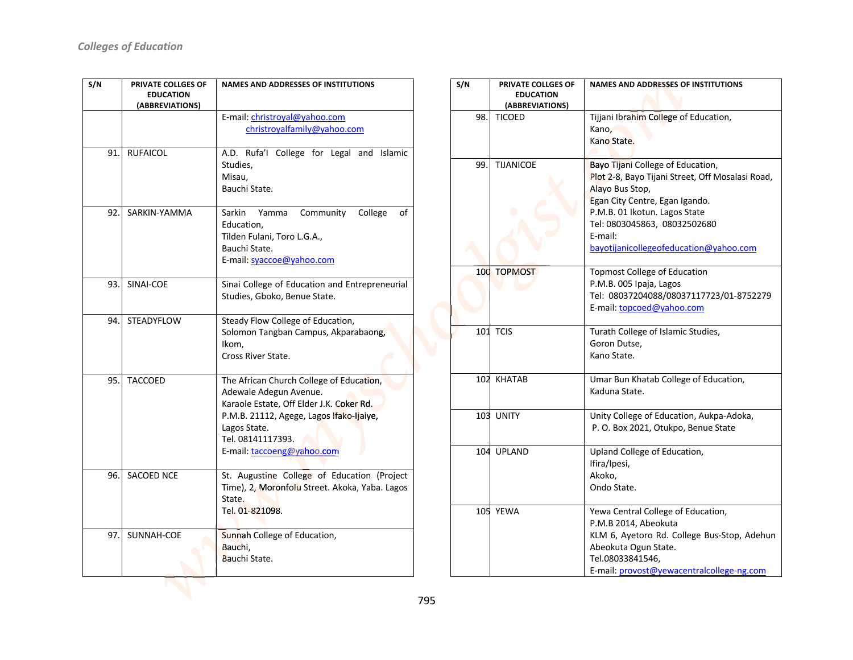| S/N | PRIVATE COLLGES OF<br><b>EDUCATION</b><br>(ABBREVIATIONS) | <b>NAMES AND ADDRESSES OF INSTITUTIONS</b><br>E-mail: christroyal@yahoo.com                                                                                                                                                   |  |
|-----|-----------------------------------------------------------|-------------------------------------------------------------------------------------------------------------------------------------------------------------------------------------------------------------------------------|--|
|     |                                                           | christroyalfamily@yahoo.com                                                                                                                                                                                                   |  |
| 91. | <b>RUFAICOL</b>                                           | A.D. Rufa'l College for Legal and Islamic<br>Studies,<br>Misau,<br>Bauchi State.                                                                                                                                              |  |
| 92. | SARKIN-YAMMA                                              | Sarkin<br>Yamma<br>Community<br>College<br>οf<br>Education,<br>Tilden Fulani, Toro L.G.A.,<br>Bauchi State.<br>E-mail: syaccoe@yahoo.com                                                                                      |  |
| 93. | SINAI-COE                                                 | Sinai College of Education and Entrepreneurial<br>Studies, Gboko, Benue State.                                                                                                                                                |  |
| 94. | STEADYFLOW                                                | Steady Flow College of Education,<br>Solomon Tangban Campus, Akparabaong,<br>Ikom,<br>Cross River State.                                                                                                                      |  |
| 95. | <b>TACCOED</b>                                            | The African Church College of Education,<br>Adewale Adegun Avenue.<br>Karaole Estate, Off Elder J.K. Coker Rd.<br>P.M.B. 21112, Agege, Lagos Ifako-Ijaiye,<br>Lagos State.<br>Tel. 08141117393.<br>E-mail: taccoeng@yahoo.com |  |
| 96. | SACOED NCE                                                | St. Augustine College of Education (Project<br>Time), 2, Moronfolu Street. Akoka, Yaba. Lagos<br>State.<br>Tel. 01-821098.                                                                                                    |  |
| 97. | SUNNAH-COE                                                | Sunnah College of Education,<br>Bauchi,<br>Bauchi State.                                                                                                                                                                      |  |

|  | S/N | PRIVATE COLLGES OF<br><b>EDUCATION</b><br>(ABBREVIATIONS) | <b>NAMES AND ADDRESSES OF INSTITUTIONS</b>                                                                                                                                                                                                                       |
|--|-----|-----------------------------------------------------------|------------------------------------------------------------------------------------------------------------------------------------------------------------------------------------------------------------------------------------------------------------------|
|  | 98. | <b>TICOED</b>                                             | Tijjani Ibrahim College of Education,<br>Kano,<br>Kano State.                                                                                                                                                                                                    |
|  | 99. | <b>TIJANICOE</b>                                          | Bayo Tijani College of Education,<br>Plot 2-8, Bayo Tijani Street, Off Mosalasi Road,<br>Alayo Bus Stop,<br>Egan City Centre, Egan Igando.<br>P.M.B. 01 Ikotun. Lagos State<br>Tel: 0803045863, 08032502680<br>E-mail:<br>bayotijanicollegeofeducation@yahoo.com |
|  |     | 100 TOPMOST                                               | <b>Topmost College of Education</b><br>P.M.B. 005 Ipaja, Lagos<br>Tel: 08037204088/08037117723/01-8752279<br>E-mail: topcoed@yahoo.com                                                                                                                           |
|  |     | 101 TCIS                                                  | Turath College of Islamic Studies,<br>Goron Dutse,<br>Kano State.                                                                                                                                                                                                |
|  |     | 102 KHATAB                                                | Umar Bun Khatab College of Education,<br>Kaduna State.                                                                                                                                                                                                           |
|  |     | 103 UNITY                                                 | Unity College of Education, Aukpa-Adoka,<br>P. O. Box 2021, Otukpo, Benue State                                                                                                                                                                                  |
|  |     | 104 UPLAND                                                | Upland College of Education,<br>Ifira/Ipesi,<br>Akoko,<br>Ondo State.                                                                                                                                                                                            |
|  |     | 105 YEWA                                                  | Yewa Central College of Education,<br>P.M.B 2014, Abeokuta<br>KLM 6, Ayetoro Rd. College Bus-Stop, Adehun<br>Abeokuta Ogun State.<br>Tel.08033841546,<br>E-mail: provost@yewacentralcollege-ng.com                                                               |